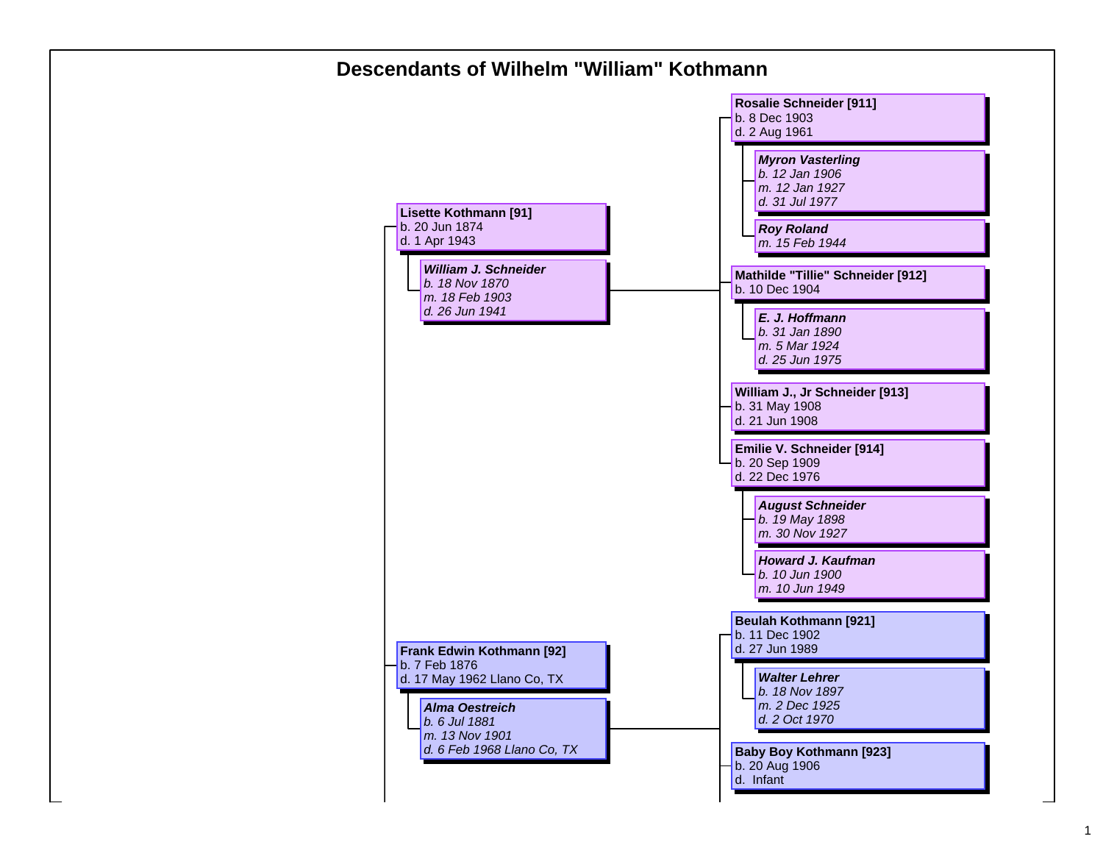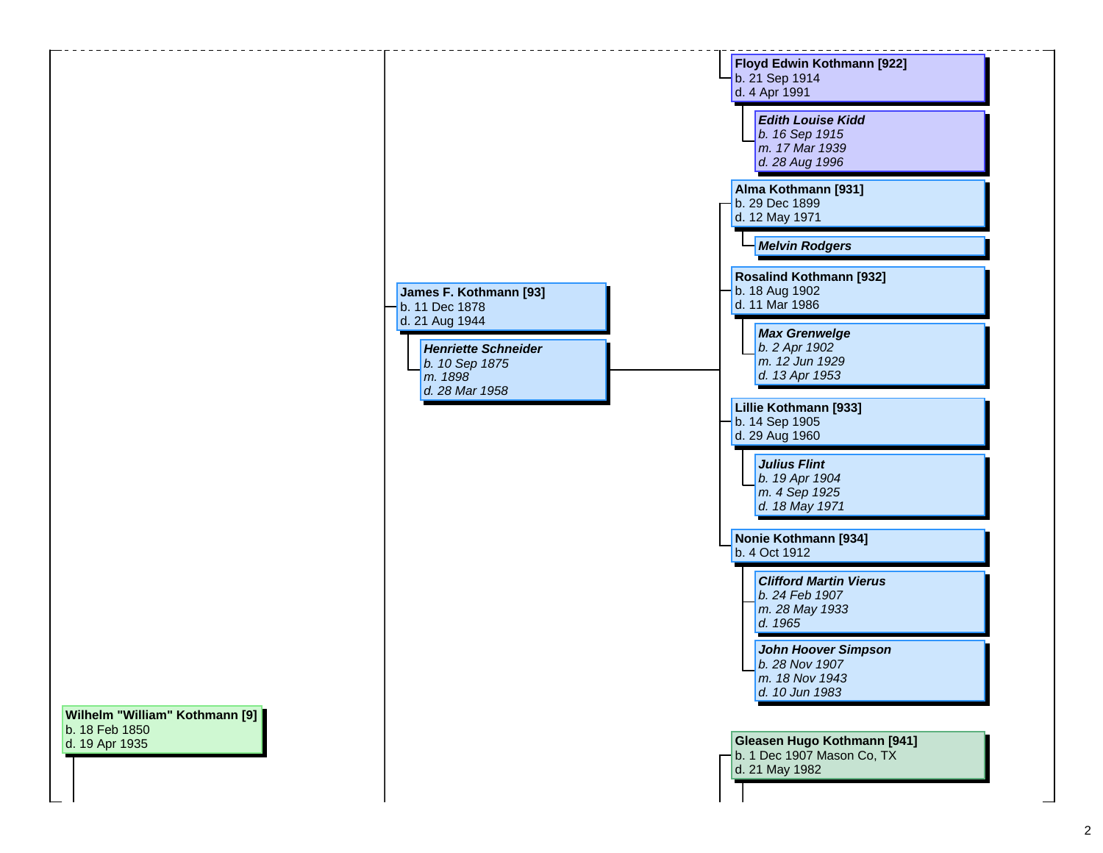|                                                                    |                                                                                                                                         | Floyd Edwin Kothmann [922]                                                                  |
|--------------------------------------------------------------------|-----------------------------------------------------------------------------------------------------------------------------------------|---------------------------------------------------------------------------------------------|
|                                                                    |                                                                                                                                         | b. 21 Sep 1914<br>d. 4 Apr 1991                                                             |
|                                                                    | James F. Kothmann [93]<br>b. 11 Dec 1878<br>d. 21 Aug 1944<br><b>Henriette Schneider</b><br>b. 10 Sep 1875<br>m. 1898<br>d. 28 Mar 1958 | <b>Edith Louise Kidd</b><br>b. 16 Sep 1915<br>m. 17 Mar 1939<br>d. 28 Aug 1996              |
|                                                                    |                                                                                                                                         | Alma Kothmann [931]<br>b. 29 Dec 1899<br>d. 12 May 1971                                     |
|                                                                    |                                                                                                                                         | <b>Melvin Rodgers</b><br><b>Rosalind Kothmann [932]</b><br>b. 18 Aug 1902<br>d. 11 Mar 1986 |
|                                                                    |                                                                                                                                         | <b>Max Grenwelge</b><br>b. 2 Apr 1902<br>m. 12 Jun 1929<br>d. 13 Apr 1953                   |
|                                                                    |                                                                                                                                         | Lillie Kothmann [933]<br>b. 14 Sep 1905<br>d. 29 Aug 1960                                   |
|                                                                    |                                                                                                                                         | <b>Julius Flint</b><br>b. 19 Apr 1904<br>m. 4 Sep 1925<br>d. 18 May 1971                    |
|                                                                    |                                                                                                                                         | Nonie Kothmann [934]<br>b. 4 Oct 1912                                                       |
|                                                                    |                                                                                                                                         | <b>Clifford Martin Vierus</b><br>b. 24 Feb 1907<br>m. 28 May 1933<br>d. 1965                |
|                                                                    |                                                                                                                                         | <b>John Hoover Simpson</b><br>b. 28 Nov 1907<br>m. 18 Nov 1943<br>d. 10 Jun 1983            |
| Wilhelm "William" Kothmann [9]<br>b. 18 Feb 1850<br>d. 19 Apr 1935 |                                                                                                                                         | Gleasen Hugo Kothmann [941]<br>b. 1 Dec 1907 Mason Co, TX<br>d. 21 May 1982                 |
|                                                                    |                                                                                                                                         |                                                                                             |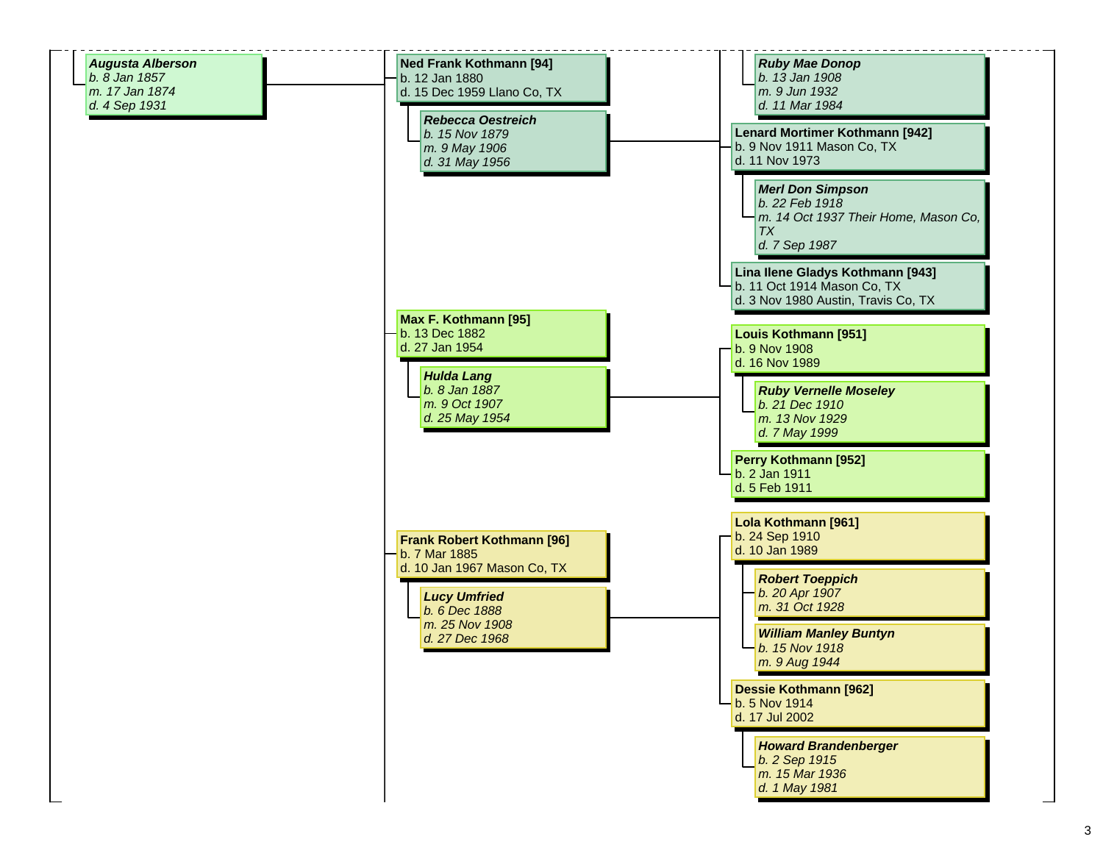